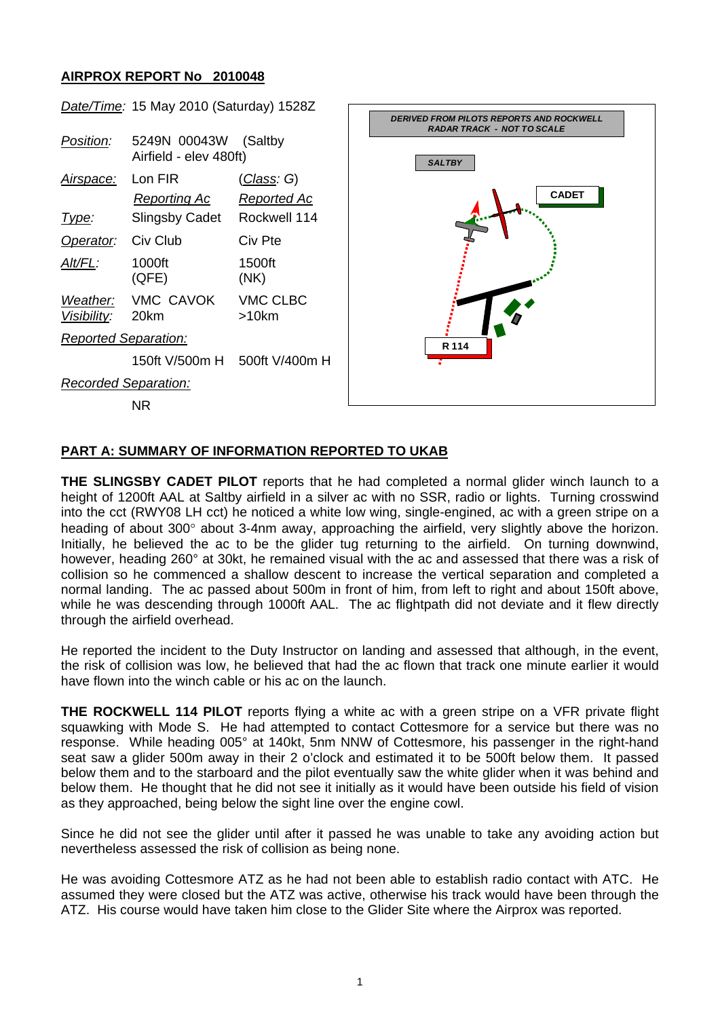## **AIRPROX REPORT No 2010048**



## **PART A: SUMMARY OF INFORMATION REPORTED TO UKAB**

**THE SLINGSBY CADET PILOT** reports that he had completed a normal glider winch launch to a height of 1200ft AAL at Saltby airfield in a silver ac with no SSR, radio or lights. Turning crosswind into the cct (RWY08 LH cct) he noticed a white low wing, single-engined, ac with a green stripe on a heading of about 300° about 3-4nm away, approaching the airfield, very slightly above the horizon. Initially, he believed the ac to be the glider tug returning to the airfield. On turning downwind, however, heading 260° at 30kt, he remained visual with the ac and assessed that there was a risk of collision so he commenced a shallow descent to increase the vertical separation and completed a normal landing. The ac passed about 500m in front of him, from left to right and about 150ft above, while he was descending through 1000ft AAL. The ac flightpath did not deviate and it flew directly through the airfield overhead.

He reported the incident to the Duty Instructor on landing and assessed that although, in the event, the risk of collision was low, he believed that had the ac flown that track one minute earlier it would have flown into the winch cable or his ac on the launch.

**THE ROCKWELL 114 PILOT** reports flying a white ac with a green stripe on a VFR private flight squawking with Mode S. He had attempted to contact Cottesmore for a service but there was no response. While heading 005° at 140kt, 5nm NNW of Cottesmore, his passenger in the right-hand seat saw a glider 500m away in their 2 o'clock and estimated it to be 500ft below them. It passed below them and to the starboard and the pilot eventually saw the white glider when it was behind and below them. He thought that he did not see it initially as it would have been outside his field of vision as they approached, being below the sight line over the engine cowl.

Since he did not see the glider until after it passed he was unable to take any avoiding action but nevertheless assessed the risk of collision as being none.

He was avoiding Cottesmore ATZ as he had not been able to establish radio contact with ATC. He assumed they were closed but the ATZ was active, otherwise his track would have been through the ATZ. His course would have taken him close to the Glider Site where the Airprox was reported.